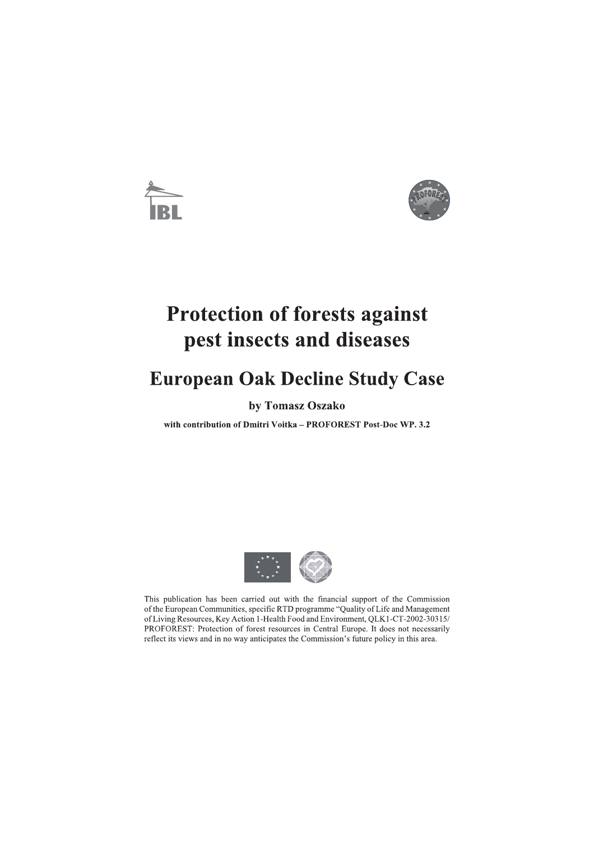

# **Protection of forests against** pest insects and diseases

# **European Oak Decline Study Case**

# by Tomasz Oszako

with contribution of Dmitri Voitka - PROFOREST Post-Doc WP. 3.2



This publication has been carried out with the financial support of the Commission of the European Communities, specific RTD programme "Quality of Life and Management of Living Resources, Key Action 1-Health Food and Environment, QLK1-CT-2002-30315/ PROFOREST: Protection of forest resources in Central Europe. It does not necessarily reflect its views and in no way anticipates the Commission's future policy in this area.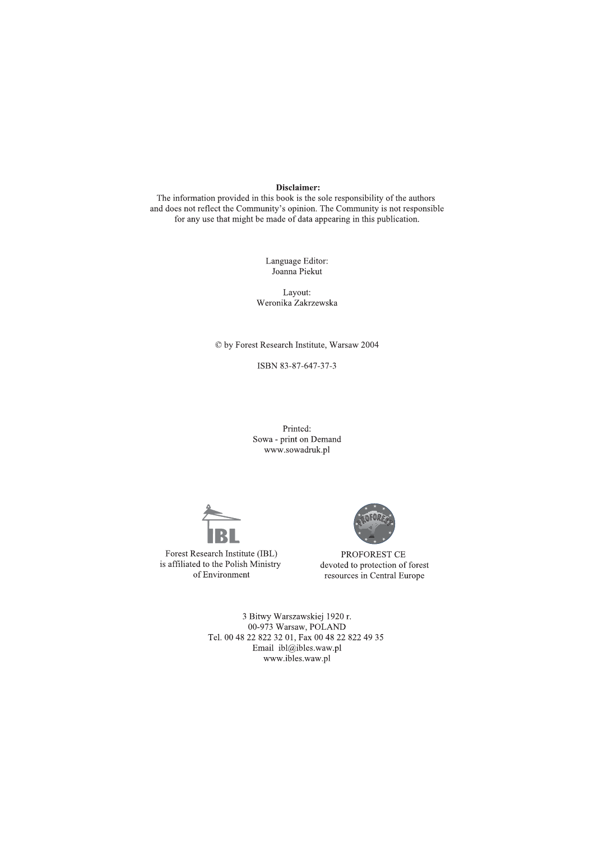### Disclaimer:

The information provided in this book is the sole responsibility of the authors and does not reflect the Community's opinion. The Community is not responsible for any use that might be made of data appearing in this publication.

> Language Editor: Joanna Piekut

Lavout: Weronika Zakrzewska

© by Forest Research Institute, Warsaw 2004

ISBN 83-87-647-37-3

Printed: Sowa - print on Demand www.sowadruk.pl



Forest Research Institute (IBL) is affiliated to the Polish Ministry of Environment



PROFOREST CE devoted to protection of forest resources in Central Europe

3 Bitwy Warszawskiej 1920 r. 00-973 Warsaw, POLAND Tel. 00 48 22 822 32 01, Fax 00 48 22 822 49 35 Email ibl@ibles.waw.pl www.ibles.waw.pl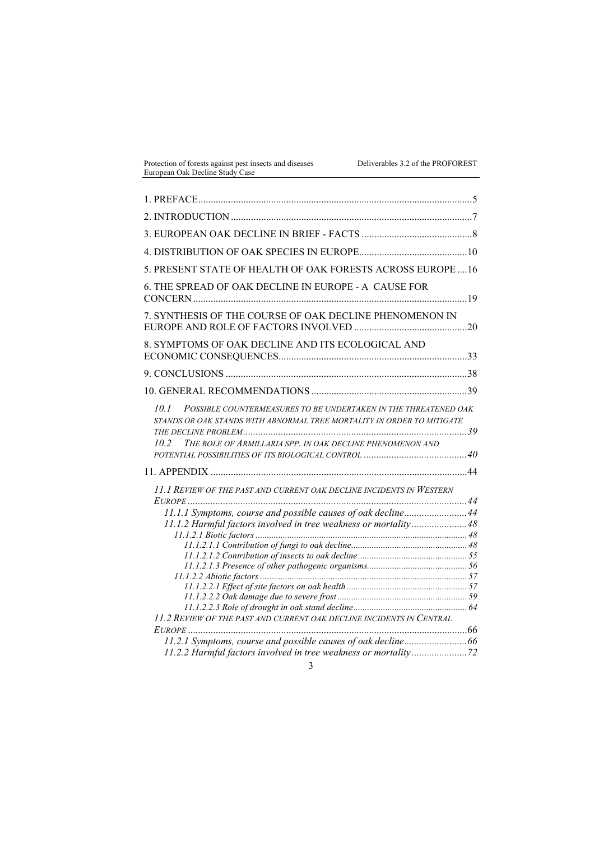| Protection of forests against pest insects and diseases |  |
|---------------------------------------------------------|--|
| European Oak Decline Study Case                         |  |

| 5. PRESENT STATE OF HEALTH OF OAK FORESTS ACROSS EUROPE16                                                                                                                                                              |  |
|------------------------------------------------------------------------------------------------------------------------------------------------------------------------------------------------------------------------|--|
| 6. THE SPREAD OF OAK DECLINE IN EUROPE - A CAUSE FOR                                                                                                                                                                   |  |
| 7. SYNTHESIS OF THE COURSE OF OAK DECLINE PHENOMENON IN                                                                                                                                                                |  |
| 8. SYMPTOMS OF OAK DECLINE AND ITS ECOLOGICAL AND                                                                                                                                                                      |  |
|                                                                                                                                                                                                                        |  |
|                                                                                                                                                                                                                        |  |
| POSSIBLE COUNTERMEASURES TO BE UNDERTAKEN IN THE THREATENED OAK<br>10.1<br>STANDS OR OAK STANDS WITH ABNORMAL TREE MORTALITY IN ORDER TO MITIGATE<br>THE ROLE OF ARMILLARIA SPP. IN OAK DECLINE PHENOMENON AND<br>10.2 |  |
|                                                                                                                                                                                                                        |  |
| 11.1 REVIEW OF THE PAST AND CURRENT OAK DECLINE INCIDENTS IN WESTERN<br>11.1.1 Symptoms, course and possible causes of oak decline 44<br>11.1.2 Harmful factors involved in tree weakness or mortality48               |  |
|                                                                                                                                                                                                                        |  |
|                                                                                                                                                                                                                        |  |
|                                                                                                                                                                                                                        |  |
|                                                                                                                                                                                                                        |  |
|                                                                                                                                                                                                                        |  |
| 11.2 REVIEW OF THE PAST AND CURRENT OAK DECLINE INCIDENTS IN CENTRAL                                                                                                                                                   |  |
|                                                                                                                                                                                                                        |  |
|                                                                                                                                                                                                                        |  |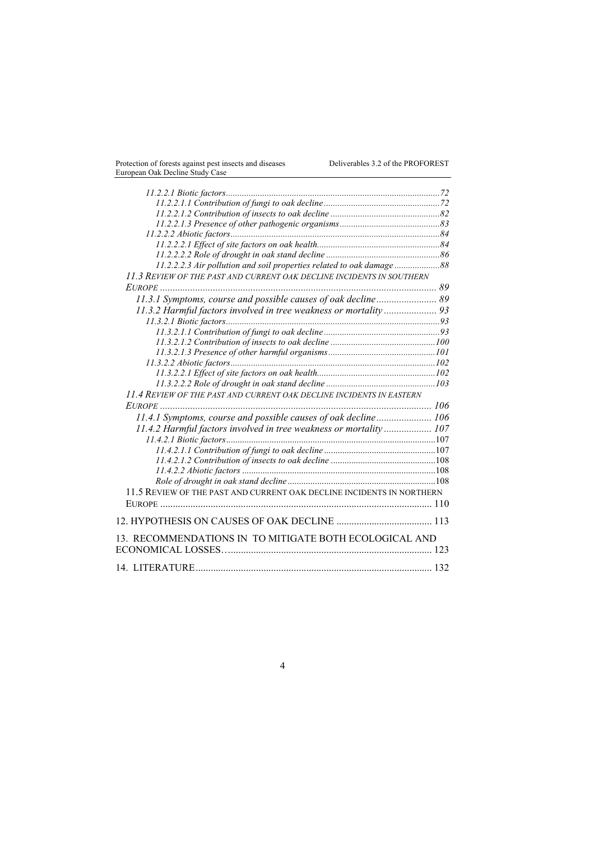| 11.2.2.2.3 Air pollution and soil properties related to oak damage88  |  |
|-----------------------------------------------------------------------|--|
| 11.3 REVIEW OF THE PAST AND CURRENT OAK DECLINE INCIDENTS IN SOUTHERN |  |
|                                                                       |  |
| 11.3.1 Symptoms, course and possible causes of oak decline 89         |  |
| 11.3.2 Harmful factors involved in tree weakness or mortality 93      |  |
|                                                                       |  |
|                                                                       |  |
|                                                                       |  |
|                                                                       |  |
|                                                                       |  |
|                                                                       |  |
|                                                                       |  |
| 11.4 REVIEW OF THE PAST AND CURRENT OAK DECLINE INCIDENTS IN EASTERN  |  |
|                                                                       |  |
| 11.4.1 Symptoms, course and possible causes of oak decline 106        |  |
| 11.4.2 Harmful factors involved in tree weakness or mortality 107     |  |
|                                                                       |  |
|                                                                       |  |
|                                                                       |  |
|                                                                       |  |
|                                                                       |  |
| 11.5 REVIEW OF THE PAST AND CURRENT OAK DECLINE INCIDENTS IN NORTHERN |  |
|                                                                       |  |
|                                                                       |  |
|                                                                       |  |
| 13. RECOMMENDATIONS IN TO MITIGATE BOTH ECOLOGICAL AND                |  |
|                                                                       |  |
|                                                                       |  |
|                                                                       |  |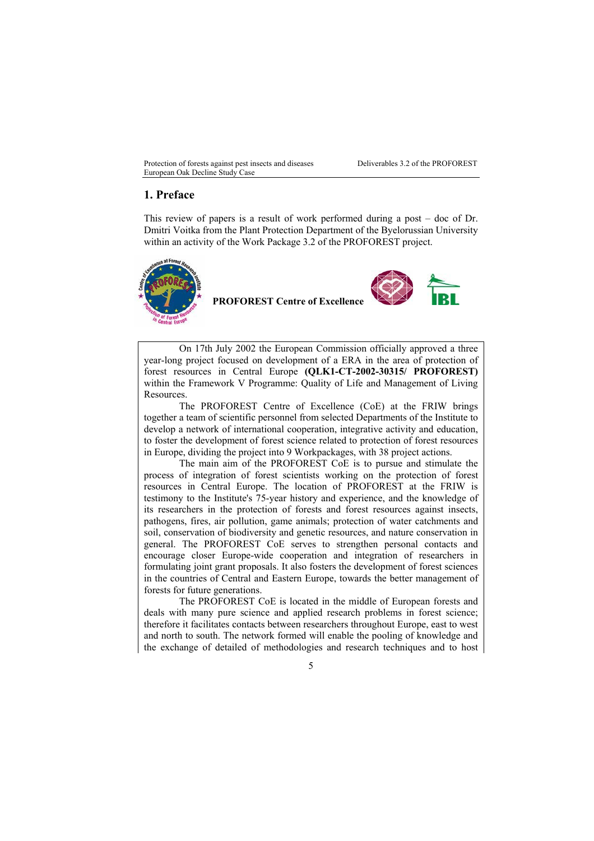## **1. Preface**

This review of papers is a result of work performed during a post – doc of Dr. Dmitri Voitka from the Plant Protection Department of the Byelorussian University within an activity of the Work Package 3.2 of the PROFOREST project.



**PROFOREST Centre of Excellence**



On 17th July 2002 the European Commission officially approved a three year-long project focused on development of a ERA in the area of protection of forest resources in Central Europe **(QLK1-CT-2002-30315/ PROFOREST)** within the Framework V Programme: Quality of Life and Management of Living Resources.

The PROFOREST Centre of Excellence (CoE) at the FRIW brings together a team of scientific personnel from selected Departments of the Institute to develop a network of international cooperation, integrative activity and education, to foster the development of forest science related to protection of forest resources in Europe, dividing the project into 9 Workpackages, with 38 project actions.

The main aim of the PROFOREST CoE is to pursue and stimulate the process of integration of forest scientists working on the protection of forest resources in Central Europe. The location of PROFOREST at the FRIW is testimony to the Institute's 75-year history and experience, and the knowledge of its researchers in the protection of forests and forest resources against insects, pathogens, fires, air pollution, game animals; protection of water catchments and soil, conservation of biodiversity and genetic resources, and nature conservation in general. The PROFOREST CoE serves to strengthen personal contacts and encourage closer Europe-wide cooperation and integration of researchers in formulating joint grant proposals. It also fosters the development of forest sciences in the countries of Central and Eastern Europe, towards the better management of forests for future generations.

The PROFOREST CoE is located in the middle of European forests and deals with many pure science and applied research problems in forest science; therefore it facilitates contacts between researchers throughout Europe, east to west and north to south. The network formed will enable the pooling of knowledge and the exchange of detailed of methodologies and research techniques and to host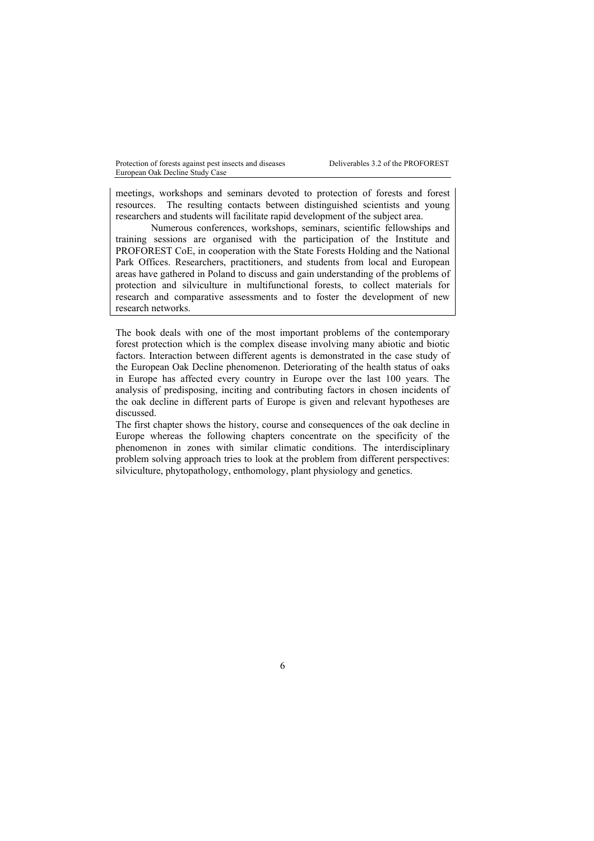meetings, workshops and seminars devoted to protection of forests and forest resources. The resulting contacts between distinguished scientists and young researchers and students will facilitate rapid development of the subject area.

Numerous conferences, workshops, seminars, scientific fellowships and training sessions are organised with the participation of the Institute and PROFOREST CoE, in cooperation with the State Forests Holding and the National Park Offices. Researchers, practitioners, and students from local and European areas have gathered in Poland to discuss and gain understanding of the problems of protection and silviculture in multifunctional forests, to collect materials for research and comparative assessments and to foster the development of new research networks.

The book deals with one of the most important problems of the contemporary forest protection which is the complex disease involving many abiotic and biotic factors. Interaction between different agents is demonstrated in the case study of the European Oak Decline phenomenon. Deteriorating of the health status of oaks in Europe has affected every country in Europe over the last 100 years. The analysis of predisposing, inciting and contributing factors in chosen incidents of the oak decline in different parts of Europe is given and relevant hypotheses are discussed.

The first chapter shows the history, course and consequences of the oak decline in Europe whereas the following chapters concentrate on the specificity of the phenomenon in zones with similar climatic conditions. The interdisciplinary problem solving approach tries to look at the problem from different perspectives: silviculture, phytopathology, enthomology, plant physiology and genetics.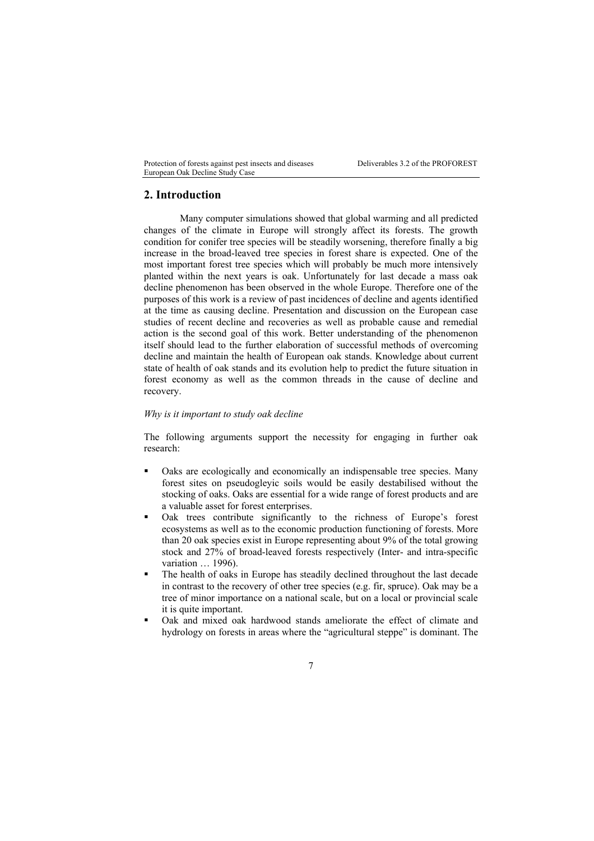# **2. Introduction**

Many computer simulations showed that global warming and all predicted changes of the climate in Europe will strongly affect its forests. The growth condition for conifer tree species will be steadily worsening, therefore finally a big increase in the broad-leaved tree species in forest share is expected. One of the most important forest tree species which will probably be much more intensively planted within the next years is oak. Unfortunately for last decade a mass oak decline phenomenon has been observed in the whole Europe. Therefore one of the purposes of this work is a review of past incidences of decline and agents identified at the time as causing decline. Presentation and discussion on the European case studies of recent decline and recoveries as well as probable cause and remedial action is the second goal of this work. Better understanding of the phenomenon itself should lead to the further elaboration of successful methods of overcoming decline and maintain the health of European oak stands. Knowledge about current state of health of oak stands and its evolution help to predict the future situation in forest economy as well as the common threads in the cause of decline and recovery.

#### *Why is it important to study oak decline*

The following arguments support the necessity for engaging in further oak research:

- Oaks are ecologically and economically an indispensable tree species. Many forest sites on pseudogleyic soils would be easily destabilised without the stocking of oaks. Oaks are essential for a wide range of forest products and are a valuable asset for forest enterprises.
- Oak trees contribute significantly to the richness of Europe's forest ecosystems as well as to the economic production functioning of forests. More than 20 oak species exist in Europe representing about 9% of the total growing stock and 27% of broad-leaved forests respectively (Inter- and intra-specific variation … 1996).
- The health of oaks in Europe has steadily declined throughout the last decade in contrast to the recovery of other tree species (e.g. fir, spruce). Oak may be a tree of minor importance on a national scale, but on a local or provincial scale it is quite important.
- Oak and mixed oak hardwood stands ameliorate the effect of climate and hydrology on forests in areas where the "agricultural steppe" is dominant. The